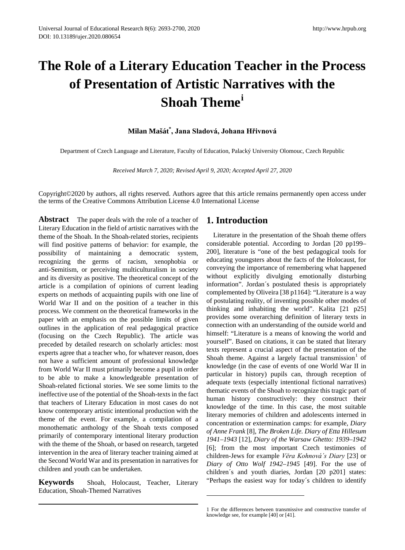# **The Role of a Literary Education Teacher in the Process of Presentation of Artistic Narratives with the Shoah Theme[i](#page-7-0)**

## **Milan Mašát\* , Jana Sladová, Johana Hřivnová**

Department of Czech Language and Literature, Faculty of Education, Palacký University Olomouc, Czech Republic

*Received March 7, 2020; Revised April 9, 2020; Accepted April 27, 2020*

Copyright©2020 by authors, all rights reserved. Authors agree that this article remains permanently open access under the terms of the Creative Commons Attribution License 4.0 International License

**Abstract** The paper deals with the role of a teacher of Literary Education in the field of artistic narratives with the theme of the Shoah. In the Shoah-related stories, recipients will find positive patterns of behavior: for example, the possibility of maintaining a democratic system, recognizing the germs of racism, xenophobia or anti-Semitism, or perceiving multiculturalism in society and its diversity as positive. The theoretical concept of the article is a compilation of opinions of current leading experts on methods of acquainting pupils with one line of World War II and on the position of a teacher in this process. We comment on the theoretical frameworks in the paper with an emphasis on the possible limits of given outlines in the application of real pedagogical practice (focusing on the Czech Republic). The article was preceded by detailed research on scholarly articles: most experts agree that a teacher who, for whatever reason, does not have a sufficient amount of professional knowledge from World War II must primarily become a pupil in order to be able to make a knowledgeable presentation of Shoah-related fictional stories. We see some limits to the ineffective use of the potential of the Shoah-texts in the fact that teachers of Literary Education in most cases do not know contemporary artistic intentional production with the theme of the event. For example, a compilation of a monothematic anthology of the Shoah texts composed primarily of contemporary intentional literary production with the theme of the Shoah, or based on research, targeted intervention in the area of literary teacher training aimed at the Second World War and its presentation in narratives for children and youth can be undertaken.

<span id="page-0-0"></span>**Keywords** Shoah, Holocaust, Teacher, Literary Education, Shoah-Themed Narratives

## **1. Introduction**

Literature in the presentation of the Shoah theme offers considerable potential. According to Jordan [20 pp199– 200], literature is "one of the best pedagogical tools for educating youngsters about the facts of the Holocaust, for conveying the importance of remembering what happened without explicitly divulging emotionally disturbing information". Jordan´s postulated thesis is appropriately complemented by Oliveira [38 p1164]: "Literature is a way of postulating reality, of inventing possible other modes of thinking and inhabiting the world". Kalita [21 p25] provides some overarching definition of literary texts in connection with an understanding of the outside world and himself: "Literature is a means of knowing the world and yourself". Based on citations, it can be stated that literary texts represent a crucial aspect of the presentation of the Shoah theme. Against a largely factual transmission  $1$  of knowledge (in the case of events of one World War II in particular in history) pupils can, through reception of adequate texts (especially intentional fictional narratives) thematic events of the Shoah to recognize this tragic part of human history constructively: they construct their knowledge of the time. In this case, the most suitable literary memories of children and adolescents interned in concentration or extermination camps: for example, *Diary of Anne Frank* [8], *The Broken Life. Diary of Etta Hillesum 1941–1943* [12], *Diary of the Warsaw Ghetto: 1939–1942*  [6]; from the most important Czech testimonies of children-Jews for example *Věra Kohnová´s Diary* [23] or *Diary of Otto Wolf 1942–1945* [49]. For the use of children´s and youth diaries, Jordan [20 p201] states: "Perhaps the easiest way for today´s children to identify

<sup>1</sup> For the differences between transmissive and constructive transfer of knowledge see, for example [40] or [41].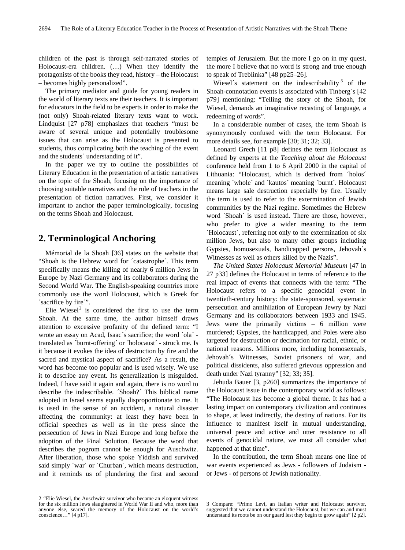children of the past is through self-narrated stories of Holocaust-era children. (…) When they identify the protagonists of the books they read, history – the Holocaust – becomes highly personalized".

The primary mediator and guide for young readers in the world of literary texts are their teachers. It is important for educators in the field to be experts in order to make the (not only) Shoah-related literary texts want to work. Lindquist [27 p78] emphasizes that teachers "must be aware of several unique and potentially troublesome issues that can arise as the Holocaust is presented to students, thus complicating both the teaching of the event and the students´ understanding of it".

In the paper we try to outline the possibilities of Literary Education in the presentation of artistic narratives on the topic of the Shoah, focusing on the importance of choosing suitable narratives and the role of teachers in the presentation of fiction narratives. First, we consider it important to anchor the paper terminologically, focusing on the terms Shoah and Holocaust.

## **2. Terminological Anchoring**

Mémorial de la Shoah [36] states on the website that "Shoah is the Hebrew word for ´catastrophe´. This term specifically means the killing of nearly 6 million Jews in Europe by Nazi Germany and its collaborators during the Second World War. The English-speaking countries more commonly use the word Holocaust, which is Greek for ´sacrifice by fire´".

Elie Wiesel<sup>[2](#page-1-0)</sup> is considered the first to use the term Shoah. At the same time, the author himself draws attention to excessive profanity of the defined term: "I wrote an essay on Acad, Isaac´s sacrifice; the word ´ola´ translated as ´burnt-offering´ or ´holocaust´ - struck me. Is it because it evokes the idea of destruction by fire and the sacred and mystical aspect of sacrifice? As a result, the word has become too popular and is used wisely. We use it to describe any event. Its generalization is misguided. Indeed, I have said it again and again, there is no word to describe the indescribable. ´Shoah?´ This biblical name adopted in Israel seems equally disproportionate to me. It is used in the sense of an accident, a natural disaster affecting the community: at least they have been in official speeches as well as in the press since the persecution of Jews in Nazi Europe and long before the adoption of the Final Solution. Because the word that describes the pogrom cannot be enough for Auschwitz. After liberation, those who spoke Yiddish and survived said simply 'war' or 'Churban', which means destruction, and it reminds us of plundering the first and second

<span id="page-1-1"></span><span id="page-1-0"></span>2 "Elie Wiesel, the Auschwitz survivor who became an eloquent witness for the six million Jews slaughtered in World War II and who, more than anyone else, seared the memory of the Holocaust on the world's conscience…" [4 p17].

 $\overline{a}$ 

temples of Jerusalem. But the more I go on in my quest, the more I believe that no word is strong and true enough to speak of Treblinka" [48 pp25–26].

Wiesel's statement on the indescribability<sup>[3](#page-1-1)</sup> of the Shoah-connotation events is associated with Tinberg´s [42 p79] mentioning: "Telling the story of the Shoah, for Wiesel, demands an imaginative recasting of language, a redeeming of words".

In a considerable number of cases, the term Shoah is synonymously confused with the term Holocaust. For more details see, for example [30; 31; 32; 33].

Leonard Grech [11 p8] defines the term Holocaust as defined by experts at the *Teaching about the Holocaust*  conference held from 1 to 6 April 2000 in the capital of Lithuania: "Holocaust, which is derived from ´holos´ meaning ´whole´ and ´kautos´ meaning ´burnt´. Holocaust means large sale destruction especially by fire. Usually the term is used to refer to the extermination of Jewish communities by the Nazi regime. Sometimes the Hebrew word ´Shoah´ is used instead. There are those, however, who prefer to give a wider meaning to the term ´Holocaust´, referring not only to the extermination of six million Jews, but also to many other groups including Gypsies, homosexuals, handicapped persons, Jehovah´s Witnesses as well as others killed by the Nazis".

*The United States Holocaust Memorial Museum* [47 in 27 p33] defines the Holocaust in terms of reference to the real impact of events that connects with the term: "The Holocaust refers to a specific genocidal event in twentieth-century history: the state-sponsored, systematic persecution and annihilation of European Jewry by Nazi Germany and its collaborators between 1933 and 1945. Jews were the primarily victims – 6 million were murdered; Gypsies, the handicapped, and Poles were also targeted for destruction or decimation for racial, ethnic, or national reasons. Millions more, including homosexuals, Jehovah´s Witnesses, Soviet prisoners of war, and political dissidents, also suffered grievous oppression and death under Nazi tyranny" [32; 33; 35].

Jehuda Bauer [3, p260] summarizes the importance of the Holocaust issue in the contemporary world as follows: "The Holocaust has become a global theme. It has had a lasting impact on contemporary civilization and continues to shape, at least indirectly, the destiny of nations. For its influence to manifest itself in mutual understanding, universal peace and active and utter resistance to all events of genocidal nature, we must all consider what happened at that time".

In the contribution, the term Shoah means one line of war events experienced as Jews - followers of Judaism or Jews - of persons of Jewish nationality.

**.** 

<sup>3</sup> Compare: "Primo Levi, an Italian writer and Holocaust survivor, suggested that we cannot understand the Holocaust, but we can and must understand its roots be on our guard lest they begin to grow again" [2 p2].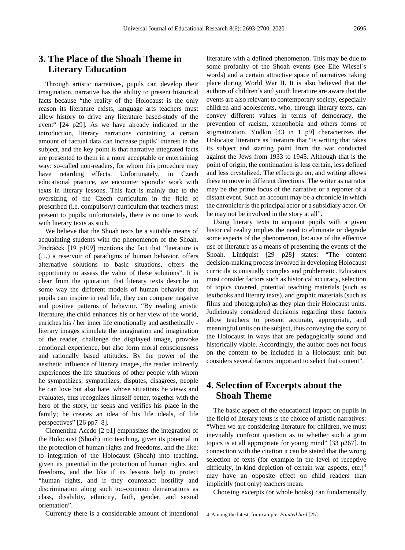# **3. The Place of the Shoah Theme in Literary Education**

Through artistic narratives, pupils can develop their imagination, narrative has the ability to present historical facts because "the reality of the Holocaust is the only reason its literature exists, language arts teachers must allow history to drive any literature based-study of the event" [24 p29]. As we have already indicated in the introduction, literary narrations containing a certain amount of factual data can increase pupils´ interest in the subject, and the key point is that narrative integrated facts are presented to them in a more acceptable or entertaining way: so-called non-readers, for whom this procedure may have retarding effects. Unfortunately, in Czech educational practice, we encounter sporadic work with texts in literary lessons. This fact is mainly due to the oversizing of the Czech curriculum in the field of prescribed (i.e. compulsory) curriculum that teachers must present to pupils; unfortunately, there is no time to work with literary texts as such.

We believe that the Shoah texts be a suitable means of acquainting students with the phenomenon of the Shoah. Jindráček [19 p109] mentions the fact that "literature is (…) a reservoir of paradigms of human behavior, offers alternative solutions to basic situations, offers the opportunity to assess the value of these solutions". It is clear from the quotation that literary texts describe in some way the different models of human behavior that pupils can inspire in real life, they can compare negative and positive patterns of behavior. "By reading artistic literature, the child enhances his or her view of the world, enriches his / her inner life emotionally and aesthetically literary images stimulate the imagination and imagination of the reader, challenge the displayed image, provoke emotional experience, but also form moral consciousness and rationally based attitudes. By the power of the aesthetic influence of literary images, the reader indirectly experiences the life situations of other people with whom he sympathizes, sympathizes, disputes, disagrees, people he can love but also hate, whose situations he views and evaluates, thus recognizes himself better, together with the hero of the story, he seeks and verifies his place in the family; he creates an idea of his life ideals, of life perspectives" [26 pp7–8].

Clementina Acedo [2 p1] emphasizes the integration of the Holocaust (Shoah) into teaching, given its potential in the protection of human rights and freedoms, and the like: to integration of the Holocaust (Shoah) into teaching, given its potential in the protection of human rights and freedoms, and the like if its lessons help to protect "human rights, and if they counteract hostility and discrimination along such too-common demarcations as class, disability, ethnicity, faith, gender, and sexual orientation".

<span id="page-2-0"></span>Currently there is a considerable amount of intentional

literature with a defined phenomenon. This may be due to some profanity of the Shoah events (see Elie Wiesel´s words) and a certain attractive space of narratives taking place during World War II. It is also believed that the authors of children´s and youth literature are aware that the events are also relevant to contemporary society, especially children and adolescents, who, through literary texts, can convey different values in terms of democracy, the prevention of racism, xenophobia and others forms of stigmatization. Yudkin [43 in 1 p9] characterizes the Holocaust literature as literature that "is writing that takes its subject and starting point from the war conducted against the Jews from 1933 to 1945. Although that is the point of origin, the continuation is less certain, less defined and less crystalized. The effects go on, and writing allows these to move in different directions. The writer as narrator may be the prime focus of the narrative or a reporter of a distant event. Such an account may be a chronicle in which the chronicler is the principal actor or a subsidiary actor. Or he may not be involved in the story at all".

Using literary texts to acquaint pupils with a given historical reality implies the need to eliminate or degrade some aspects of the phenomenon, because of the effective use of literature as a means of presenting the events of the Shoah. Lindquist [29 p28] states: "The content decision-making process involved in developing Holocaust curricula is unusually complex and problematic. Educators must consider factors such as historical accuracy, selection of topics covered, potential teaching materials (such as textbooks and literary texts), and graphic materials (such as films and photographs) as they plan their Holocaust units. Judiciously considered decisions regarding these factors allow teachers to present accurate, appropriate, and meaningful units on the subject, thus conveying the story of the Holocaust in ways that are pedagogically sound and historically viable. Accordingly, the author does not focus on the content to be included in a Holocaust unit but considers several factors important to select that content".

## **4. Selection of Excerpts about the Shoah Theme**

The basic aspect of the educational impact on pupils in the field of literary texts is the choice of artistic narratives: "When we are considering literature for children, we must inevitably confront question as to whether such a grim topics is at all appropriate for young mind" [33 p267]. In connection with the citation it can be stated that the wrong selection of texts (for example in the level of receptive difficulty, in-kind depiction of certain war aspects, etc.) $4$ may have an opposite effect on child readers than implicitly (not only) teachers mean.

Choosing excerpts (or whole books) can fundamentally

1

<sup>4</sup> Among the latest, for example, *Painted bird* [25].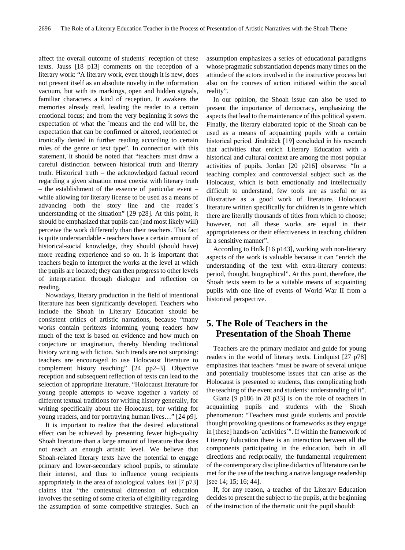affect the overall outcome of students´ reception of these texts. Jauss [18 p13] comments on the reception of a literary work: "A literary work, even though it is new, does not present itself as an absolute novelty in the information vacuum, but with its markings, open and hidden signals, familiar characters a kind of reception. It awakens the memories already read, leading the reader to a certain emotional focus; and from the very beginning it sows the expectation of what the ´means and the end will be, the expectation that can be confirmed or altered, reoriented or ironically denied in further reading according to certain rules of the genre or text type". In connection with this statement, it should be noted that "teachers must draw a careful distinction between historical truth and literary truth. Historical truth – the acknowledged factual record regarding a given situation must coexist with literary truth – the establishment of the essence of particular event – while allowing for literary license to be used as a means of advancing both the story line and the reader´s understanding of the situation" [29 p28]. At this point, it should be emphasized that pupils can (and most likely will) perceive the work differently than their teachers. This fact is quite understandable - teachers have a certain amount of historical-social knowledge, they should (should have) more reading experience and so on. It is important that teachers begin to interpret the works at the level at which the pupils are located; they can then progress to other levels of interpretation through dialogue and reflection on reading.

Nowadays, literary production in the field of intentional literature has been significantly developed. Teachers who include the Shoah in Literary Education should be consistent critics of artistic narrations, because "many works contain peritexts informing young readers how much of the text is based on evidence and how much on conjecture or imagination, thereby blending traditional history writing with fiction. Such trends are not surprising: teachers are encouraged to use Holocaust literature to complement history teaching" [24 pp2–3]. Objective reception and subsequent reflection of texts can lead to the selection of appropriate literature. "Holocaust literature for young people attempts to weave together a variety of different textual traditions for writing history generally, for writing specifically about the Holocaust, for writing for young readers, and for portraying human lives…" [24 p9].

It is important to realize that the desired educational effect can be achieved by presenting fewer high-quality Shoah literature than a large amount of literature that does not reach an enough artistic level. We believe that Shoah-related literary texts have the potential to engage primary and lower-secondary school pupils, to stimulate their interest, and thus to influence young recipients appropriately in the area of axiological values. Esi [7 p73] claims that "the contextual dimension of education involves the setting of some criteria of eligibility regarding the assumption of some competitive strategies. Such an

assumption emphasizes a series of educational paradigms whose pragmatic substantiation depends many times on the attitude of the actors involved in the instructive process but also on the courses of action initiated within the social reality".

In our opinion, the Shoah issue can also be used to present the importance of democracy, emphasizing the aspects that lead to the maintenance of this political system. Finally, the literary elaborated topic of the Shoah can be used as a means of acquainting pupils with a certain historical period. Jindráček [19] concluded in his research that activities that enrich Literary Education with a historical and cultural context are among the most popular activities of pupils. Jordan [20 p216] observes: "In a teaching complex and controversial subject such as the Holocaust, which is both emotionally and intellectually difficult to understand, few tools are as useful or as illustrative as a good work of literature. Holocaust literature written specifically for children is in genre which there are literally thousands of titles from which to choose; however, not all these works are equal in their appropriateness or their effectiveness in teaching children in a sensitive manner".

According to Hník [16 p143], working with non-literary aspects of the work is valuable because it can "enrich the understanding of the text with extra-literary contexts: period, thought, biographical". At this point, therefore, the Shoah texts seem to be a suitable means of acquainting pupils with one line of events of World War II from a historical perspective.

## **5. The Role of Teachers in the Presentation of the Shoah Theme**

Teachers are the primary mediator and guide for young readers in the world of literary texts. Lindquist [27 p78] emphasizes that teachers "must be aware of several unique and potentially troublesome issues that can arise as the Holocaust is presented to students, thus complicating both the teaching of the event and students' understanding of it".

Glanz [9 p186 in 28 p33] is on the role of teachers in acquainting pupils and students with the Shoah phenomenon: "Teachers must guide students and provide thought provoking questions or frameworks as they engage in [these] hands-on ´activities´". If within the framework of Literary Education there is an interaction between all the components participating in the education, both in all directions and reciprocally, the fundamental requirement of the contemporary discipline didactics of literature can be met for the use of the teaching a native language readership [see 14; 15; 16; 44].

If, for any reason, a teacher of the Literary Education decides to present the subject to the pupils, at the beginning of the instruction of the thematic unit the pupil should: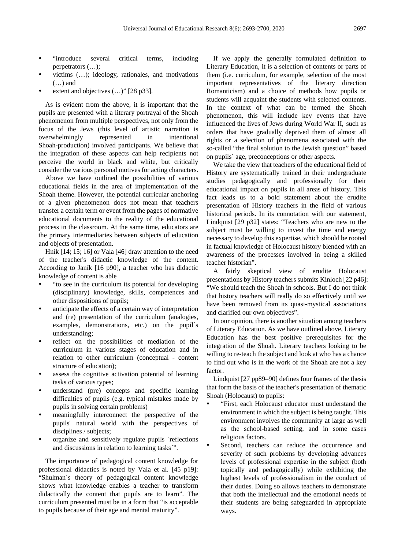- "introduce several critical terms, including perpetrators (…);
- victims (…); ideology, rationales, and motivations (…) and
- extent and objectives  $(...)$ " [28 p33].

As is evident from the above, it is important that the pupils are presented with a literary portrayal of the Shoah phenomenon from multiple perspectives, not only from the focus of the Jews (this level of artistic narration is overwhelmingly represented in Shoah-production) involved participants. We believe that the integration of these aspects can help recipients not perceive the world in black and white, but critically consider the various personal motives for acting characters.

Above we have outlined the possibilities of various educational fields in the area of implementation of the Shoah theme. However, the potential curricular anchoring of a given phenomenon does not mean that teachers transfer a certain term or event from the pages of normative educational documents to the reality of the educational process in the classroom. At the same time, educators are the primary intermediaries between subjects of education and objects of presentation.

Hník [14; 15; 16] or Vala [46] draw attention to the need of the teacher's didactic knowledge of the content. According to Janík [16 p90], a teacher who has didactic knowledge of content is able

- "to see in the curriculum its potential for developing (disciplinary) knowledge, skills, competences and other dispositions of pupils;
- anticipate the effects of a certain way of interpretation and (re) presentation of the curriculum (analogies, examples, demonstrations, etc.) on the pupil´s understanding;
- reflect on the possibilities of mediation of the curriculum in various stages of education and in relation to other curriculum (conceptual - content structure of education);
- assess the cognitive activation potential of learning tasks of various types;
- understand (pre) concepts and specific learning difficulties of pupils (e.g. typical mistakes made by pupils in solving certain problems)
- meaningfully interconnect the perspective of the pupils' natural world with the perspectives of disciplines / subjects;
- organize and sensitively regulate pupils ´reflections and discussions in relation to learning tasks´".

The importance of pedagogical content knowledge for professional didactics is noted by Vala et al. [45 p19]: "Shulman´s theory of pedagogical content knowledge shows what knowledge enables a teacher to transform didactically the content that pupils are to learn". The curriculum presented must be in a form that "is acceptable to pupils because of their age and mental maturity".

If we apply the generally formulated definition to Literary Education, it is a selection of contents or parts of them (i.e. curriculum, for example, selection of the most important representatives of the literary direction Romanticism) and a choice of methods how pupils or students will acquaint the students with selected contents. In the context of what can be termed the Shoah phenomenon, this will include key events that have influenced the lives of Jews during World War II, such as orders that have gradually deprived them of almost all rights or a selection of phenomena associated with the so-called "the final solution to the Jewish question" based on pupils´ age, preconceptions or other aspects.

We take the view that teachers of the educational field of History are systematically trained in their undergraduate studies pedagogically and professionally for their educational impact on pupils in all areas of history. This fact leads us to a bold statement about the erudite presentation of History teachers in the field of various historical periods. In its connotation with our statement, Lindquist [29 p32] states: "Teachers who are new to the subject must be willing to invest the time and energy necessary to develop this expertise, which should be rooted in factual knowledge of Holocaust history blended with an awareness of the processes involved in being a skilled teacher historian".

A fairly skeptical view of erudite Holocaust presentations by History teachers submits Kinloch [22 p46]: "We should teach the Shoah in schools. But I do not think that history teachers will really do so effectively until we have been removed from its quasi-mystical associations and clarified our own objectives".

In our opinion, there is another situation among teachers of Literary Education. As we have outlined above, Literary Education has the best positive prerequisites for the integration of the Shoah. Literary teachers looking to be willing to re-teach the subject and look at who has a chance to find out who is in the work of the Shoah are not a key factor.

Lindquist [27 pp89–90] defines four frames of the thesis that form the basis of the teacher's presentation of thematic Shoah (Holocaust) to pupils:

- "First, each Holocaust educator must understand the environment in which the subject is being taught. This environment involves the community at large as well as the school-based setting, and in some cases religious factors.
- Second, teachers can reduce the occurrence and severity of such problems by developing advances levels of professional expertise in the subject (both topically and pedagogically) while exhibiting the highest levels of professionalism in the conduct of their duties. Doing so allows teachers to demonstrate that both the intellectual and the emotional needs of their students are being safeguarded in appropriate ways.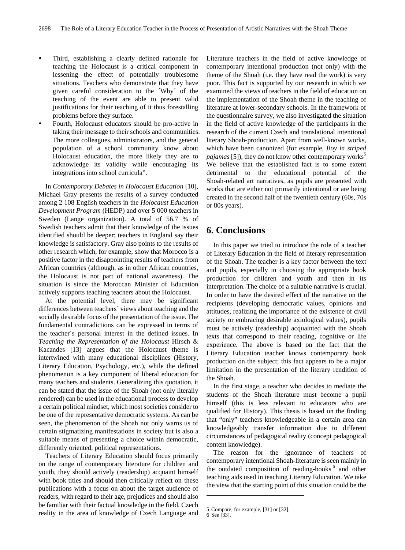- Third, establishing a clearly defined rationale for teaching the Holocaust is a critical component in lessening the effect of potentially troublesome situations. Teachers who demonstrate that they have given careful consideration to the ´Why´ of the teaching of the event are able to present valid justifications for their teaching of it thus forestalling problems before they surface.
- Fourth, Holocaust educators should be pro-active in taking their message to their schools and communities. The more colleagues, administrators, and the general population of a school community know about Holocaust education, the more likely they are to acknowledge its validity while encouraging its integrations into school curricula".

In *Contemporary Debates in Holocaust Education* [10], Michael Gray presents the results of a survey conducted among 2 108 English teachers in the *Holocaust Education Development Program* (HEDP) and over 5 000 teachers in Sweden (Lange organization). A total of 56.7 % of Swedish teachers admit that their knowledge of the issues identified should be deeper; teachers in England say their knowledge is satisfactory. Gray also points to the results of other research which, for example, show that Morocco is a positive factor in the disappointing results of teachers from African countries (although, as in other African countries, the Holocaust is not part of national awareness). The situation is since the Moroccan Minister of Education actively supports teaching teachers about the Holocaust.

At the potential level, there may be significant differences between teachers´ views about teaching and the socially desirable focus of the presentation of the issue. The fundamental contradictions can be expressed in terms of the teacher´s personal interest in the defined issues. In *Teaching the Representation of the Holocaust* Hirsch & Kacandes [13] argues that the Holocaust theme is intertwined with many educational disciplines (History, Literary Education, Psychology, etc.), while the defined phenomenon is a key component of liberal education for many teachers and students. Generalizing this quotation, it can be stated that the issue of the Shoah (not only literally rendered) can be used in the educational process to develop a certain political mindset, which most societies consider to be one of the representative democratic systems. As can be seen, the phenomenon of the Shoah not only warns us of certain stigmatizing manifestations in society but is also a suitable means of presenting a choice within democratic, differently oriented, political representations.

<span id="page-5-1"></span><span id="page-5-0"></span>Teachers of Literary Education should focus primarily on the range of contemporary literature for children and youth, they should actively (readership) acquaint himself with book titles and should then critically reflect on these publications with a focus on about the target audience of readers, with regard to their age, prejudices and should also be familiar with their factual knowledge in the field. Czech reality in the area of knowledge of Czech Language and

Literature teachers in the field of active knowledge of contemporary intentional production (not only) with the theme of the Shoah (i.e. they have read the work) is very poor. This fact is supported by our research in which we examined the views of teachers in the field of education on the implementation of the Shoah theme in the teaching of literature at lower-secondary schools. In the framework of the questionnaire survey, we also investigated the situation in the field of active knowledge of the participants in the research of the current Czech and translational intentional literary Shoah-production. Apart from well-known works, which have been canonized (for example, *Boy in striped*  pajamas [[5](#page-5-0)]), they do not know other contemporary works<sup>5</sup>. We believe that the established fact is to some extent detrimental to the educational potential of the Shoah-related art narratives, as pupils are presented with works that are either not primarily intentional or are being created in the second half of the twentieth century (60s, 70s or 80s years).

## **6. Conclusions**

In this paper we tried to introduce the role of a teacher of Literary Education in the field of literary representation of the Shoah. The teacher is a key factor between the text and pupils, especially in choosing the appropriate book production for children and youth and then in its interpretation. The choice of a suitable narrative is crucial. In order to have the desired effect of the narrative on the recipients (developing democratic values, opinions and attitudes, realizing the importance of the existence of civil society or embracing desirable axiological values), pupils must be actively (readership) acquainted with the Shoah texts that correspond to their reading, cognitive or life experience. The above is based on the fact that the Literary Education teacher knows contemporary book production on the subject; this fact appears to be a major limitation in the presentation of the literary rendition of the Shoah.

In the first stage, a teacher who decides to mediate the students of the Shoah literature must become a pupil himself (this is less relevant to educators who are qualified for History). This thesis is based on the finding that "only" teachers knowledgeable in a certain area can knowledgeably transfer information due to different circumstances of pedagogical reality (concept pedagogical content knowledge).

The reason for the ignorance of teachers of contemporary intentional Shoah-literature is seen mainly in the outdated composition of reading-books<sup>[6](#page-5-1)</sup> and other teaching aids used in teaching Literary Education. We take the view that the starting point of this situation could be the

1

<sup>5</sup> Compare, for example, [31] or [32].

<sup>6</sup> See [33].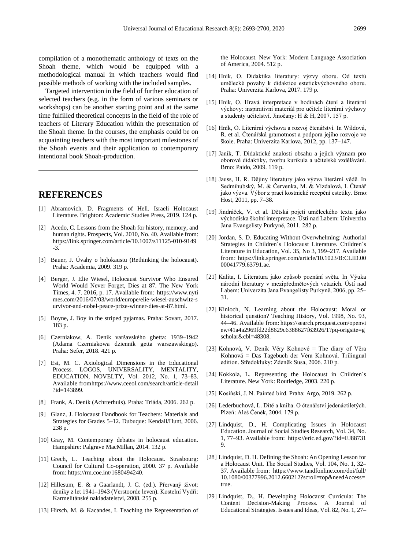compilation of a monothematic anthology of texts on the Shoah theme, which would be equipped with a methodological manual in which teachers would find possible methods of working with the included samples.

Targeted intervention in the field of further education of selected teachers (e.g. in the form of various seminars or workshops) can be another starting point and at the same time fulfilled theoretical concepts in the field of the role of teachers of Literary Education within the presentation of the Shoah theme. In the courses, the emphasis could be on acquainting teachers with the most important milestones of the Shoah events and their application to contemporary intentional book Shoah-production.

#### **REFERENCES**

- [1] Abramovich, D. Fragments of Hell. Israeli Holocaust Literature. Brighton: Academic Studies Press, 2019. 124 p.
- [2] Acedo, C. Lessons from the Shoah for history, memory, and human rights. Prospects, Vol. 2010, No. 40. Available from: [https://link.springer.com/article/10.1007/s11125-010-9149](https://link.springer.com/article/10.1007/s11125-010-9149-3) [-3.](https://link.springer.com/article/10.1007/s11125-010-9149-3)
- [3] Bauer, J. Úvahy o holokaustu (Rethinking the holocaust). Praha: Academia, 2009. 319 p.
- [4] Berger, J. Elie Wiesel, Holocaust Survivor Who Ensured World Would Never Forget, Dies at 87. The New York Times, 4. 7. 2016, p. 17. Available from[:](https://www.nytimes.com/2016/07/03/world/europe/elie-wiesel-auschwitz-survivor-and-nobel-peace-prize-winner-dies-at-87.html) [https://www.nyti](https://www.nytimes.com/2016/07/03/world/europe/elie-wiesel-auschwitz-survivor-and-nobel-peace-prize-winner-dies-at-87.html) [mes.com/2016/07/03/world/europe/elie-wiesel-auschwitz-s](https://www.nytimes.com/2016/07/03/world/europe/elie-wiesel-auschwitz-survivor-and-nobel-peace-prize-winner-dies-at-87.html) [urvivor-and-nobel-peace-prize-winner-dies-at-87.html.](https://www.nytimes.com/2016/07/03/world/europe/elie-wiesel-auschwitz-survivor-and-nobel-peace-prize-winner-dies-at-87.html)
- [5] Boyne, J. Boy in the striped pyjamas. Praha: Sovart, 2017. 183 p.
- [6] Czerniakow, A*.* Deník varšavského ghetta: 1939–1942 (Adama Czerniakowa dziennik getta warszawskiego). Praha: Sefer, 2018. 421 p.
- [7] Esi, M. C. Axiological Dimensions in the Educational Process. LOGOS, UNIVERSALITY, MENTALITY, EDUCATION, NOVELTY, Vol. 2012, No. 1, 73–83. Available fro[mhttps://www.ceeol.com/search/article-detail](https://www.ceeol.com/search/article-detail?id=143899) [?id=143899.](https://www.ceeol.com/search/article-detail?id=143899)
- [8] Frank, A. Deník (Achrterhuis). Praha: Triáda, 2006. 262 p.
- [9] Glanz, J. Holocaust Handbook for Teachers: Materials and Strategies for Grades 5–12. Dubuque: Kendall/Hunt, 2006. 238 p.
- [10] Gray, M. Contemporary debates in holocaust education. Hampshire: Palgrave MacMillan, 2014. 132 p.
- [11] Grech, L. Teaching about the Holocaust. Strasbourg: Council for Cultural Co-operation, 2000. 37 p. Available from: [https://rm.coe.int/1680494240.](https://rm.coe.int/1680494240)
- [12] Hillesum, E. & a Gaarlandt, J. G. (ed.). Přervaný život: deníky z let 1941–1943 (Verstoorde leven). Kostelní Vydří: Karmelitánské nakladatelství, 2008. 255 p.
- [13] Hirsch, M. & Kacandes, I. Teaching the Representation of

the Holocaust. New York: Modern Language Association of America, 2004. 512 p.

- [14] Hník, O. Didaktika literatury: výzvy oboru. Od textů umělecké povahy k didaktice estetickvýchovného oboru. Praha: Univerzita Karlova, 2017. 179 p.
- [15] Hník, O. Hravá interpretace v hodinách čtení a literární výchovy: inspirativní materiál pro učitele literární výchovy a studenty učitelství. Jinočany: H & H, 2007. 157 p.
- [16] Hník, O. Literární výchova a rozvoj čtenářství. In Wildová, R. et al. Čtenářská gramotnost a podpora jejího rozvoje ve škole. Praha: Univerzita Karlova, 2012, pp. 137–147.
- [17] Janík, T. Didaktické znalosti obsahu a jejich význam pro oborové didaktiky, tvorbu kurikula a učitelské vzdělávání. Brno: Paido, 2009. 119 p.
- [18] Jauss, H. R. Dějiny literatury jako výzva literární vědě. In Sedmihubský, M. & Červenka, M. & Vízdalová, I. Čtenář jako výzva. Výbor z prací kostnické recepční estetiky. Brno: Host, 2011, pp. 7–38.
- [19] Jindráček, V. et al. Dětská pojetí uměleckého textu jako východiska školní interpretace. Ústí nad Labem: Univerzita Jana Evangelisty Purkyně, 2011. 282 p.
- [20] Jordan, S. D. Educating Without Overwhelming: Authorial Strategies in Children´s Holocaust Literature. Children´s Literature in Education, Vol. 35, No 3, 199–217. Available from[:](https://link.springer.com/article/10.1023/B:CLID.0000041779.63791.ae) [https://link.springer.com/article/10.1023/B:CLID.00](https://link.springer.com/article/10.1023/B:CLID.0000041779.63791.ae) [00041779.63791.ae.](https://link.springer.com/article/10.1023/B:CLID.0000041779.63791.ae)
- [21] Kalita, I. Literatura jako způsob poznání světa. In Výuka národní literatury v mezipředmětových vztazích. Ústí nad Labem: Univerzita Jana Evangelisty Purkyně, 2006, pp. 25– 31.
- [22] Kinloch, N. Learning about the Holocaust: Moral or historical question? Teaching History, Vol. 1998, No. 93, 44–46. Available from[:](https://search.proquest.com/openview/41a4a2969fd22d8629c6388627f63926/1?pq-origsite=gscholar&cbl=48308) [https://search.proquest.com/openvi](https://search.proquest.com/openview/41a4a2969fd22d8629c6388627f63926/1?pq-origsite=gscholar&cbl=48308) [ew/41a4a2969fd22d8629c6388627f63926/1?pq-origsite=g](https://search.proquest.com/openview/41a4a2969fd22d8629c6388627f63926/1?pq-origsite=gscholar&cbl=48308) [scholar&cbl=48308.](https://search.proquest.com/openview/41a4a2969fd22d8629c6388627f63926/1?pq-origsite=gscholar&cbl=48308)
- [23] Kohnová, V. Deník Věry Kohnové = The diary of Věra Kohnová = Das Tagebuch der Věra Kohnová. Trilingual edition. Středokluky: Zdeněk Susa, 2006. 210 p.
- [24] Kokkola, L. Representing the Holocaust in Children´s Literature. New York: Routledge, 2003. 220 p.
- [25] Kosiński, J. N. Painted bird. Praha: Argo, 2019. 262 p.
- [26] Lederbuchová, L. Dítě a kniha. O čtenářství jedenáctiletých. Plzeň: Aleš Čeněk, 2004. 179 p.
- [27] Lindquist, D., H. Complicating Issues in Holocaust Education. Journal of Social Studies Research, Vol. 34, No. 1, 77–93. Available from[:](https://eric.ed.gov/?id=EJ887319) [https://eric.ed.gov/?id=EJ88731](https://eric.ed.gov/?id=EJ887319) [9.](https://eric.ed.gov/?id=EJ887319)
- [28] Lindquist, D. H. Defining the Shoah: An Opening Lesson for a Holocaust Unit. The Social Studies, Vol. 104, No. 1, 32– 37. Available from[:](https://www.tandfonline.com/doi/full/10.1080/00377996.2012.660212?scroll=top&needAccess=true) [https://www.tandfonline.com/doi/full/](https://www.tandfonline.com/doi/full/10.1080/00377996.2012.660212?scroll=top&needAccess=true) [10.1080/00377996.2012.660212?scroll=top&needAccess=](https://www.tandfonline.com/doi/full/10.1080/00377996.2012.660212?scroll=top&needAccess=true) [true.](https://www.tandfonline.com/doi/full/10.1080/00377996.2012.660212?scroll=top&needAccess=true)
- [29] Lindquist, D., H. Developing Holocaust Curricula: The Content Decision-Making Process. A Journal of Educational Strategies. Issues and Ideas, Vol. 82, No. 1, 27–